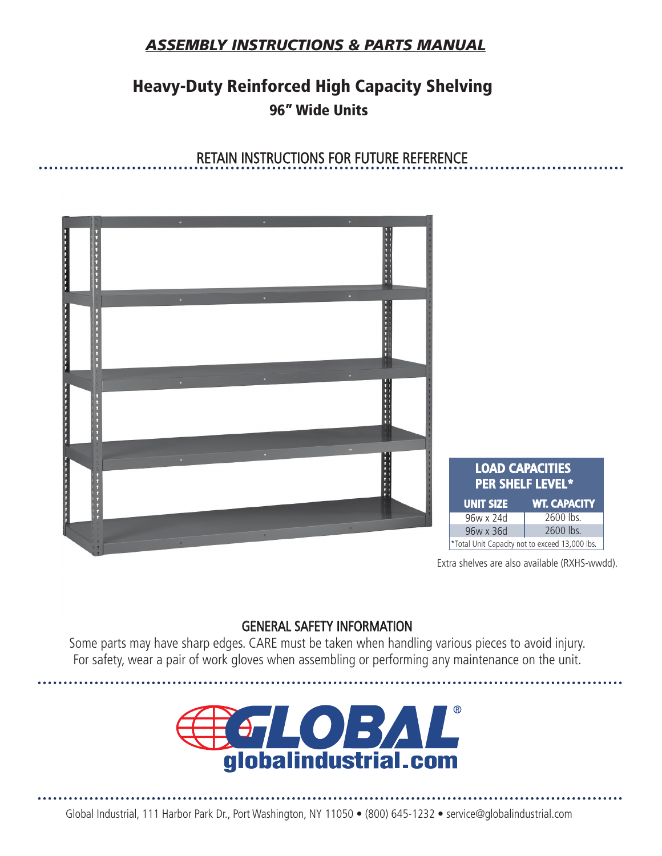### *ASSEMBLY INSTRUCTIONS & PARTS MANUAL*

## Heavy-Duty Reinforced High Capacity Shelving 96" Wide Units

RETAIN INSTRUCTIONS FOR FUTURE REFERENCE

# . . . . . . . . . . . . **LOAD CAPACITIES PER SHELF LEVEL\* UNIT SIZE WT. CAPACITY** 96w x 24d 2600 lbs. 2600 lbs. 96w x 36d \*Total Unit Capacity not to exceed 13,000 lbs.

Extra shelves are also available (RXHS-wwdd).

#### GENERAL SAFETY INFORMATION

Some parts may have sharp edges. CARE must be taken when handling various pieces to avoid injury. For safety, wear a pair of work gloves when assembling or performing any maintenance on the unit.

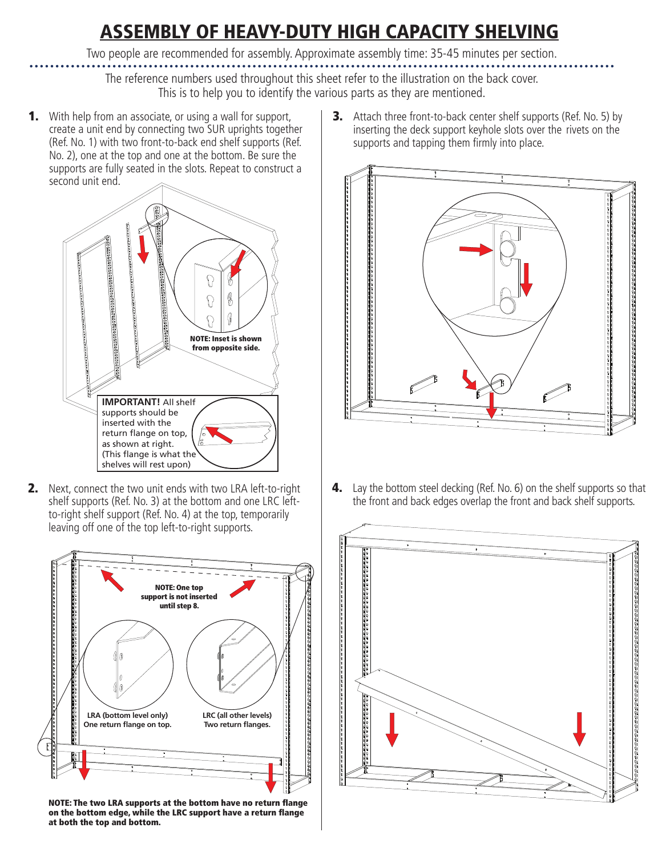# ASSEMBLY OF HEAVY-DUTY HIGH CAPACITY SHELVING

Two people are recommended for assembly. Approximate assembly time: 35-45 minutes per section.

The reference numbers used throughout this sheet refer to the illustration on the back cover. This is to help you to identify the various parts as they are mentioned.

**1.** With help from an associate, or using a wall for support, create a unit end by connecting two SUR uprights together (Ref. No. 1) with two front-to-back end shelf supports (Ref. No. 2), one at the top and one at the bottom. Be sure the supports are fully seated in the slots. Repeat to construct a second unit end.



**2.** Next, connect the two unit ends with two LRA left-to-right shelf supports (Ref. No. 3) at the bottom and one LRC leftto-right shelf support (Ref. No. 4) at the top, temporarily leaving off one of the top left-to-right supports.



NOTE: The two LRA supports at the bottom have no return flange on the bottom edge, while the LRC support have a return flange at both the top and bottom.

**3.** Attach three front-to-back center shelf supports (Ref. No. 5) by inserting the deck support keyhole slots over the rivets on the supports and tapping them firmly into place.



**4.** Lay the bottom steel decking (Ref. No. 6) on the shelf supports so that the front and back edges overlap the front and back shelf supports.

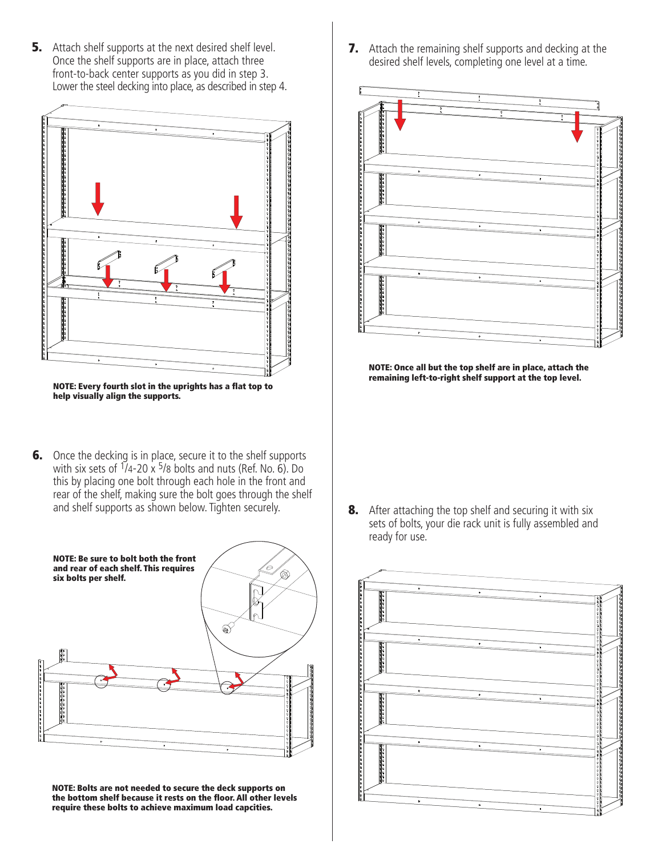**5.** Attach shelf supports at the next desired shelf level. Once the shelf supports are in place, attach three front-to-back center supports as you did in step 3. Lower the steel decking into place, as described in step 4.



NOTE: Every fourth slot in the uprights has a flat top to help visually align the supports.

**6.** Once the decking is in place, secure it to the shelf supports with six sets of  $\frac{1}{4}$ -20 x  $\frac{5}{8}$  bolts and nuts (Ref. No. 6). Do this by placing one bolt through each hole in the front and rear of the shelf, making sure the bolt goes through the shelf and shelf supports as shown below. Tighten securely.



NOTE: Bolts are not needed to secure the deck supports on the bottom shelf because it rests on the floor. All other levels require these bolts to achieve maximum load capcities.

**7.** Attach the remaining shelf supports and decking at the desired shelf levels, completing one level at a time.



NOTE: Once all but the top shelf are in place, attach the remaining left-to-right shelf support at the top level.

**8.** After attaching the top shelf and securing it with six sets of bolts, your die rack unit is fully assembled and ready for use.